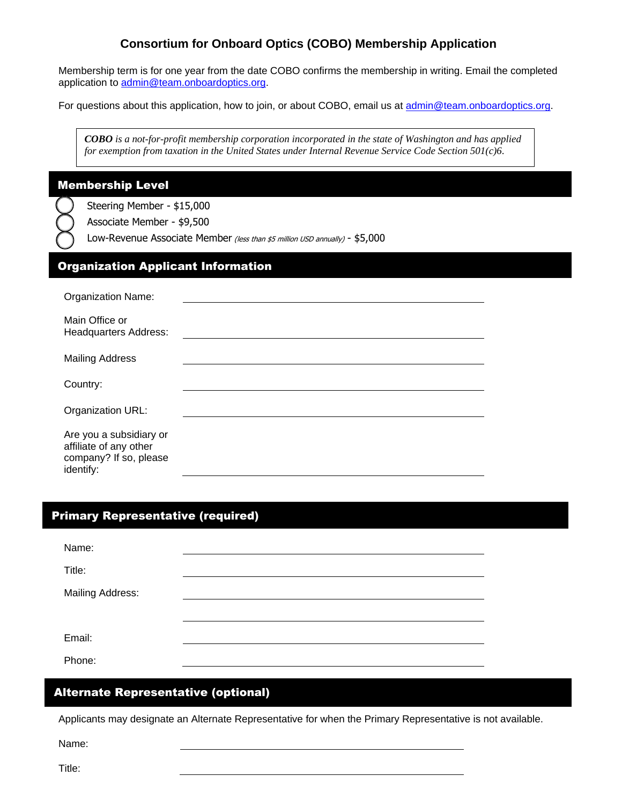## **Consortium for Onboard Optics (COBO) Membership Application**

Membership term is for one year from the date COBO confirms the membership in writing. Email the completed application to [admin@team.onboardoptics.org.](mailto:admin@team.onboardoptics.org)

For questions about this application, how to join, or about COBO, email us at [admin@team.onboardoptics.org.](mailto:admin@team.onboardoptics.org)

*COBO is a not-for-profit membership corporation incorporated in the state of Washington and has applied for exemption from taxation in the United States under Internal Revenue Service Code Section 501(c)6*.

#### Membership Level

Steering Member - \$15,000

Associate Member - \$9,500

Low-Revenue Associate Member (less than \$5 million USD annually) - \$5,000

#### Organization Applicant Information

| <b>Organization Name:</b>                                                                |  |
|------------------------------------------------------------------------------------------|--|
| Main Office or<br><b>Headquarters Address:</b>                                           |  |
| <b>Mailing Address</b>                                                                   |  |
| Country:                                                                                 |  |
| Organization URL:                                                                        |  |
| Are you a subsidiary or<br>affiliate of any other<br>company? If so, please<br>identify: |  |

### Primary Representative (required)

| Name:            |  |
|------------------|--|
| Title:           |  |
| Mailing Address: |  |
|                  |  |
| Email:           |  |
| Phone:           |  |

### Alternate Representative (optional)

Applicants may designate an Alternate Representative for when the Primary Representative is not available.

Name:

Title: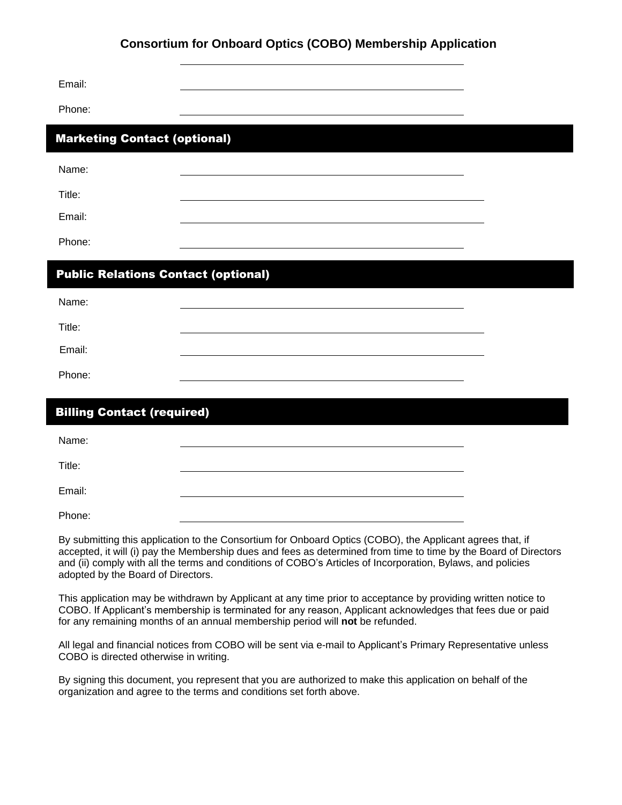## **Consortium for Onboard Optics (COBO) Membership Application**

| Email:                                     |  |  |  |  |
|--------------------------------------------|--|--|--|--|
| Phone:                                     |  |  |  |  |
| <b>Marketing Contact (optional)</b>        |  |  |  |  |
| Name:                                      |  |  |  |  |
| Title:                                     |  |  |  |  |
| Email:                                     |  |  |  |  |
| Phone:                                     |  |  |  |  |
| <b>Public Relations Contact (optional)</b> |  |  |  |  |
| Name:                                      |  |  |  |  |
| Title:                                     |  |  |  |  |
| Email:                                     |  |  |  |  |
| Phone:                                     |  |  |  |  |

| <b>Billing Contact (required)</b> |  |  |  |  |
|-----------------------------------|--|--|--|--|
| Name:                             |  |  |  |  |
| Title:                            |  |  |  |  |
| Email:                            |  |  |  |  |
| Phone:                            |  |  |  |  |

By submitting this application to the Consortium for Onboard Optics (COBO), the Applicant agrees that, if accepted, it will (i) pay the Membership dues and fees as determined from time to time by the Board of Directors and (ii) comply with all the terms and conditions of COBO's Articles of Incorporation, Bylaws, and policies adopted by the Board of Directors.

This application may be withdrawn by Applicant at any time prior to acceptance by providing written notice to COBO. If Applicant's membership is terminated for any reason, Applicant acknowledges that fees due or paid for any remaining months of an annual membership period will **not** be refunded.

All legal and financial notices from COBO will be sent via e-mail to Applicant's Primary Representative unless COBO is directed otherwise in writing.

By signing this document, you represent that you are authorized to make this application on behalf of the organization and agree to the terms and conditions set forth above.